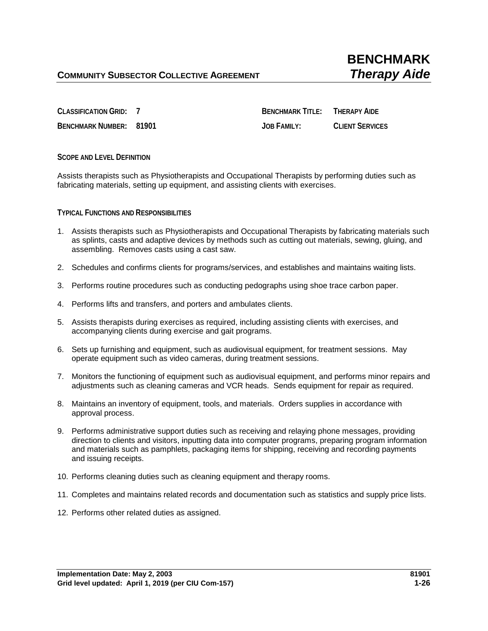**CLASSIFICATION GRID: 7 BENCHMARK TITLE: THERAPY AIDE BENCHMARK NUMBER: 81901 JOB FAMILY: CLIENT SERVICES**

## **SCOPE AND LEVEL DEFINITION**

Assists therapists such as Physiotherapists and Occupational Therapists by performing duties such as fabricating materials, setting up equipment, and assisting clients with exercises.

**TYPICAL FUNCTIONS AND RESPONSIBILITIES** 

- 1. Assists therapists such as Physiotherapists and Occupational Therapists by fabricating materials such as splints, casts and adaptive devices by methods such as cutting out materials, sewing, gluing, and assembling. Removes casts using a cast saw.
- 2. Schedules and confirms clients for programs/services, and establishes and maintains waiting lists.
- 3. Performs routine procedures such as conducting pedographs using shoe trace carbon paper.
- 4. Performs lifts and transfers, and porters and ambulates clients.
- 5. Assists therapists during exercises as required, including assisting clients with exercises, and accompanying clients during exercise and gait programs.
- 6. Sets up furnishing and equipment, such as audiovisual equipment, for treatment sessions. May operate equipment such as video cameras, during treatment sessions.
- 7. Monitors the functioning of equipment such as audiovisual equipment, and performs minor repairs and adjustments such as cleaning cameras and VCR heads. Sends equipment for repair as required.
- 8. Maintains an inventory of equipment, tools, and materials. Orders supplies in accordance with approval process.
- 9. Performs administrative support duties such as receiving and relaying phone messages, providing direction to clients and visitors, inputting data into computer programs, preparing program information and materials such as pamphlets, packaging items for shipping, receiving and recording payments and issuing receipts.
- 10. Performs cleaning duties such as cleaning equipment and therapy rooms.
- 11. Completes and maintains related records and documentation such as statistics and supply price lists.
- 12. Performs other related duties as assigned.